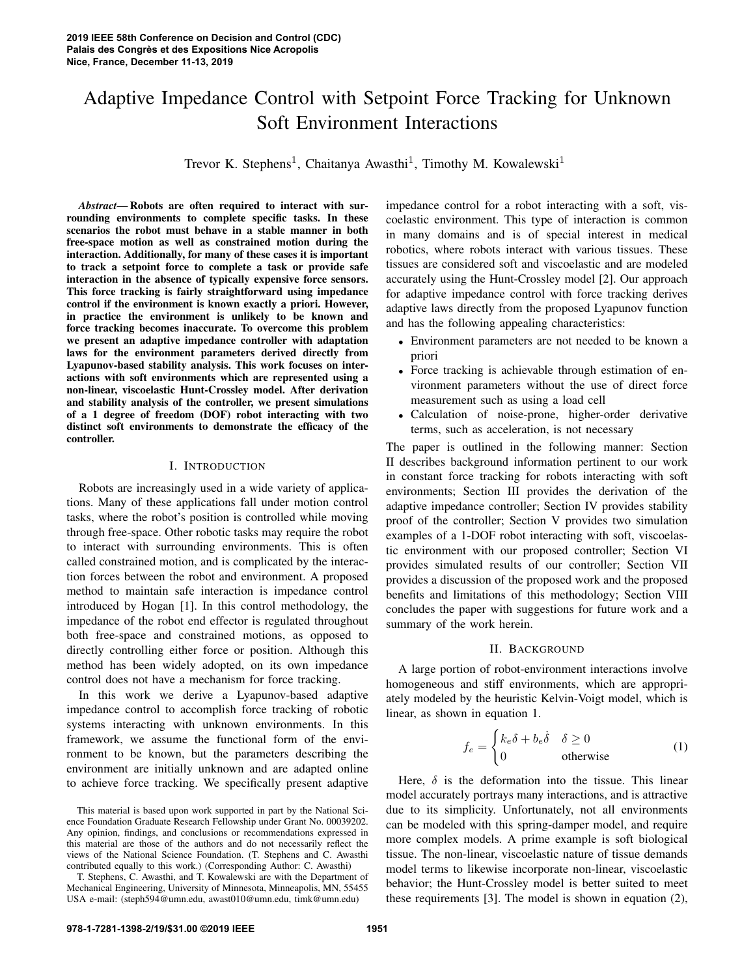# Adaptive Impedance Control with Setpoint Force Tracking for Unknown Soft Environment Interactions

Trevor K. Stephens<sup>1</sup>, Chaitanya Awasthi<sup>1</sup>, Timothy M. Kowalewski<sup>1</sup>

*Abstract*— Robots are often required to interact with surrounding environments to complete specific tasks. In these scenarios the robot must behave in a stable manner in both free-space motion as well as constrained motion during the interaction. Additionally, for many of these cases it is important to track a setpoint force to complete a task or provide safe interaction in the absence of typically expensive force sensors. This force tracking is fairly straightforward using impedance control if the environment is known exactly a priori. However, in practice the environment is unlikely to be known and force tracking becomes inaccurate. To overcome this problem we present an adaptive impedance controller with adaptation laws for the environment parameters derived directly from Lyapunov-based stability analysis. This work focuses on interactions with soft environments which are represented using a non-linear, viscoelastic Hunt-Crossley model. After derivation and stability analysis of the controller, we present simulations of a 1 degree of freedom (DOF) robot interacting with two distinct soft environments to demonstrate the efficacy of the controller.

### I. INTRODUCTION

Robots are increasingly used in a wide variety of applications. Many of these applications fall under motion control tasks, where the robot's position is controlled while moving through free-space. Other robotic tasks may require the robot to interact with surrounding environments. This is often called constrained motion, and is complicated by the interaction forces between the robot and environment. A proposed method to maintain safe interaction is impedance control introduced by Hogan [1]. In this control methodology, the impedance of the robot end effector is regulated throughout both free-space and constrained motions, as opposed to directly controlling either force or position. Although this method has been widely adopted, on its own impedance control does not have a mechanism for force tracking.

In this work we derive a Lyapunov-based adaptive impedance control to accomplish force tracking of robotic systems interacting with unknown environments. In this framework, we assume the functional form of the environment to be known, but the parameters describing the environment are initially unknown and are adapted online to achieve force tracking. We specifically present adaptive

T. Stephens, C. Awasthi, and T. Kowalewski are with the Department of Mechanical Engineering, University of Minnesota, Minneapolis, MN, 55455 USA e-mail: (steph594@umn.edu, awast010@umn.edu, timk@umn.edu)

impedance control for a robot interacting with a soft, viscoelastic environment. This type of interaction is common in many domains and is of special interest in medical robotics, where robots interact with various tissues. These tissues are considered soft and viscoelastic and are modeled accurately using the Hunt-Crossley model [2]. Our approach for adaptive impedance control with force tracking derives adaptive laws directly from the proposed Lyapunov function and has the following appealing characteristics:

- Environment parameters are not needed to be known a priori
- Force tracking is achievable through estimation of environment parameters without the use of direct force measurement such as using a load cell
- Calculation of noise-prone, higher-order derivative terms, such as acceleration, is not necessary

The paper is outlined in the following manner: Section II describes background information pertinent to our work in constant force tracking for robots interacting with soft environments; Section III provides the derivation of the adaptive impedance controller; Section IV provides stability proof of the controller; Section V provides two simulation examples of a 1-DOF robot interacting with soft, viscoelastic environment with our proposed controller; Section VI provides simulated results of our controller; Section VII provides a discussion of the proposed work and the proposed benefits and limitations of this methodology; Section VIII concludes the paper with suggestions for future work and a summary of the work herein.

### II. BACKGROUND

A large portion of robot-environment interactions involve homogeneous and stiff environments, which are appropriately modeled by the heuristic Kelvin-Voigt model, which is linear, as shown in equation 1.

$$
f_e = \begin{cases} k_e \delta + b_e \dot{\delta} & \delta \ge 0\\ 0 & \text{otherwise} \end{cases}
$$
 (1)

Here,  $\delta$  is the deformation into the tissue. This linear model accurately portrays many interactions, and is attractive due to its simplicity. Unfortunately, not all environments can be modeled with this spring-damper model, and require more complex models. A prime example is soft biological tissue. The non-linear, viscoelastic nature of tissue demands model terms to likewise incorporate non-linear, viscoelastic behavior; the Hunt-Crossley model is better suited to meet these requirements [3]. The model is shown in equation (2),

This material is based upon work supported in part by the National Science Foundation Graduate Research Fellowship under Grant No. 00039202. Any opinion, findings, and conclusions or recommendations expressed in this material are those of the authors and do not necessarily reflect the views of the National Science Foundation. (T. Stephens and C. Awasthi contributed equally to this work.) (Corresponding Author: C. Awasthi)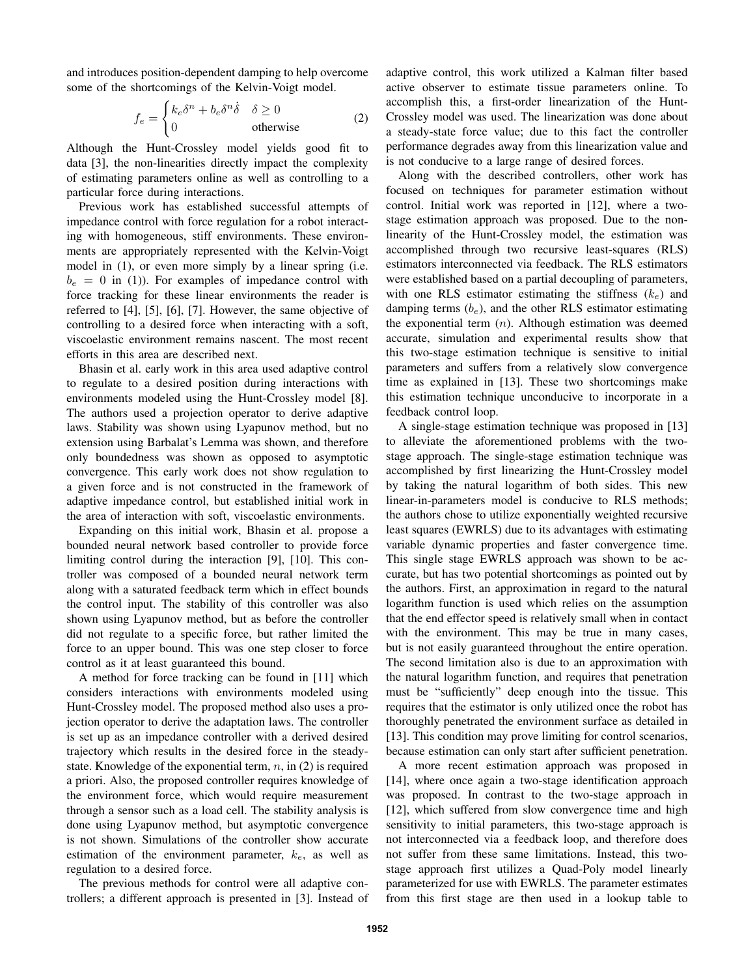and introduces position-dependent damping to help overcome some of the shortcomings of the Kelvin-Voigt model.

$$
f_e = \begin{cases} k_e \delta^n + b_e \delta^n \dot{\delta} & \delta \ge 0\\ 0 & \text{otherwise} \end{cases}
$$
 (2)

Although the Hunt-Crossley model yields good fit to data [3], the non-linearities directly impact the complexity of estimating parameters online as well as controlling to a particular force during interactions.

Previous work has established successful attempts of impedance control with force regulation for a robot interacting with homogeneous, stiff environments. These environments are appropriately represented with the Kelvin-Voigt model in (1), or even more simply by a linear spring (i.e.  $b_e = 0$  in (1)). For examples of impedance control with force tracking for these linear environments the reader is referred to [4], [5], [6], [7]. However, the same objective of controlling to a desired force when interacting with a soft, viscoelastic environment remains nascent. The most recent efforts in this area are described next.

Bhasin et al. early work in this area used adaptive control to regulate to a desired position during interactions with environments modeled using the Hunt-Crossley model [8]. The authors used a projection operator to derive adaptive laws. Stability was shown using Lyapunov method, but no extension using Barbalat's Lemma was shown, and therefore only boundedness was shown as opposed to asymptotic convergence. This early work does not show regulation to a given force and is not constructed in the framework of adaptive impedance control, but established initial work in the area of interaction with soft, viscoelastic environments.

Expanding on this initial work, Bhasin et al. propose a bounded neural network based controller to provide force limiting control during the interaction [9], [10]. This controller was composed of a bounded neural network term along with a saturated feedback term which in effect bounds the control input. The stability of this controller was also shown using Lyapunov method, but as before the controller did not regulate to a specific force, but rather limited the force to an upper bound. This was one step closer to force control as it at least guaranteed this bound.

A method for force tracking can be found in [11] which considers interactions with environments modeled using Hunt-Crossley model. The proposed method also uses a projection operator to derive the adaptation laws. The controller is set up as an impedance controller with a derived desired trajectory which results in the desired force in the steadystate. Knowledge of the exponential term,  $n$ , in (2) is required a priori. Also, the proposed controller requires knowledge of the environment force, which would require measurement through a sensor such as a load cell. The stability analysis is done using Lyapunov method, but asymptotic convergence is not shown. Simulations of the controller show accurate estimation of the environment parameter,  $k_e$ , as well as regulation to a desired force.

The previous methods for control were all adaptive controllers; a different approach is presented in [3]. Instead of adaptive control, this work utilized a Kalman filter based active observer to estimate tissue parameters online. To accomplish this, a first-order linearization of the Hunt-Crossley model was used. The linearization was done about a steady-state force value; due to this fact the controller performance degrades away from this linearization value and is not conducive to a large range of desired forces.

Along with the described controllers, other work has focused on techniques for parameter estimation without control. Initial work was reported in [12], where a twostage estimation approach was proposed. Due to the nonlinearity of the Hunt-Crossley model, the estimation was accomplished through two recursive least-squares (RLS) estimators interconnected via feedback. The RLS estimators were established based on a partial decoupling of parameters, with one RLS estimator estimating the stiffness  $(k_e)$  and damping terms  $(b_e)$ , and the other RLS estimator estimating the exponential term  $(n)$ . Although estimation was deemed accurate, simulation and experimental results show that this two-stage estimation technique is sensitive to initial parameters and suffers from a relatively slow convergence time as explained in [13]. These two shortcomings make this estimation technique unconducive to incorporate in a feedback control loop.

A single-stage estimation technique was proposed in [13] to alleviate the aforementioned problems with the twostage approach. The single-stage estimation technique was accomplished by first linearizing the Hunt-Crossley model by taking the natural logarithm of both sides. This new linear-in-parameters model is conducive to RLS methods; the authors chose to utilize exponentially weighted recursive least squares (EWRLS) due to its advantages with estimating variable dynamic properties and faster convergence time. This single stage EWRLS approach was shown to be accurate, but has two potential shortcomings as pointed out by the authors. First, an approximation in regard to the natural logarithm function is used which relies on the assumption that the end effector speed is relatively small when in contact with the environment. This may be true in many cases, but is not easily guaranteed throughout the entire operation. The second limitation also is due to an approximation with the natural logarithm function, and requires that penetration must be "sufficiently" deep enough into the tissue. This requires that the estimator is only utilized once the robot has thoroughly penetrated the environment surface as detailed in [13]. This condition may prove limiting for control scenarios, because estimation can only start after sufficient penetration.

A more recent estimation approach was proposed in [14], where once again a two-stage identification approach was proposed. In contrast to the two-stage approach in [12], which suffered from slow convergence time and high sensitivity to initial parameters, this two-stage approach is not interconnected via a feedback loop, and therefore does not suffer from these same limitations. Instead, this twostage approach first utilizes a Quad-Poly model linearly parameterized for use with EWRLS. The parameter estimates from this first stage are then used in a lookup table to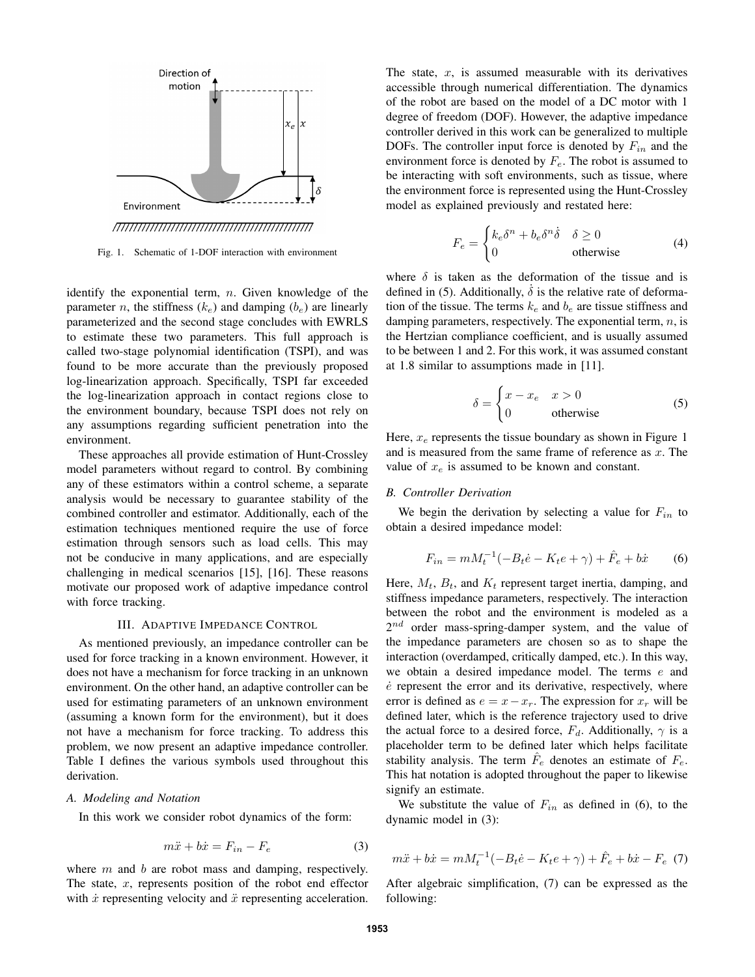

Fig. 1. Schematic of 1-DOF interaction with environment

identify the exponential term,  $n$ . Given knowledge of the parameter n, the stiffness  $(k_e)$  and damping  $(b_e)$  are linearly parameterized and the second stage concludes with EWRLS to estimate these two parameters. This full approach is called two-stage polynomial identification (TSPI), and was found to be more accurate than the previously proposed log-linearization approach. Specifically, TSPI far exceeded the log-linearization approach in contact regions close to the environment boundary, because TSPI does not rely on any assumptions regarding sufficient penetration into the environment.

These approaches all provide estimation of Hunt-Crossley model parameters without regard to control. By combining any of these estimators within a control scheme, a separate analysis would be necessary to guarantee stability of the combined controller and estimator. Additionally, each of the estimation techniques mentioned require the use of force estimation through sensors such as load cells. This may not be conducive in many applications, and are especially challenging in medical scenarios [15], [16]. These reasons motivate our proposed work of adaptive impedance control with force tracking.

#### III. ADAPTIVE IMPEDANCE CONTROL

As mentioned previously, an impedance controller can be used for force tracking in a known environment. However, it does not have a mechanism for force tracking in an unknown environment. On the other hand, an adaptive controller can be used for estimating parameters of an unknown environment (assuming a known form for the environment), but it does not have a mechanism for force tracking. To address this problem, we now present an adaptive impedance controller. Table I defines the various symbols used throughout this derivation.

#### *A. Modeling and Notation*

In this work we consider robot dynamics of the form:

$$
m\ddot{x} + b\dot{x} = F_{in} - F_e \tag{3}
$$

where  $m$  and  $b$  are robot mass and damping, respectively. The state,  $x$ , represents position of the robot end effector with  $\dot{x}$  representing velocity and  $\ddot{x}$  representing acceleration.

The state,  $x$ , is assumed measurable with its derivatives accessible through numerical differentiation. The dynamics of the robot are based on the model of a DC motor with 1 degree of freedom (DOF). However, the adaptive impedance controller derived in this work can be generalized to multiple DOFs. The controller input force is denoted by  $F_{in}$  and the environment force is denoted by  $F_e$ . The robot is assumed to be interacting with soft environments, such as tissue, where the environment force is represented using the Hunt-Crossley model as explained previously and restated here:

$$
F_e = \begin{cases} k_e \delta^n + b_e \delta^n \dot{\delta} & \delta \ge 0\\ 0 & \text{otherwise} \end{cases}
$$
 (4)

where  $\delta$  is taken as the deformation of the tissue and is defined in (5). Additionally,  $\delta$  is the relative rate of deformation of the tissue. The terms  $k_e$  and  $b_e$  are tissue stiffness and damping parameters, respectively. The exponential term,  $n$ , is the Hertzian compliance coefficient, and is usually assumed to be between 1 and 2. For this work, it was assumed constant at 1.8 similar to assumptions made in [11].

$$
\delta = \begin{cases} x - x_e & x > 0 \\ 0 & \text{otherwise} \end{cases}
$$
 (5)

Here,  $x_e$  represents the tissue boundary as shown in Figure 1 and is measured from the same frame of reference as  $x$ . The value of  $x_e$  is assumed to be known and constant.

#### *B. Controller Derivation*

We begin the derivation by selecting a value for  $F_{in}$  to obtain a desired impedance model:

$$
F_{in} = mM_t^{-1}(-B_t \dot{e} - K_t e + \gamma) + \hat{F}_e + b\dot{x}
$$
 (6)

Here,  $M_t$ ,  $B_t$ , and  $K_t$  represent target inertia, damping, and stiffness impedance parameters, respectively. The interaction between the robot and the environment is modeled as a  $2^{nd}$  order mass-spring-damper system, and the value of the impedance parameters are chosen so as to shape the interaction (overdamped, critically damped, etc.). In this way, we obtain a desired impedance model. The terms e and  $\dot{e}$  represent the error and its derivative, respectively, where error is defined as  $e = x - x_r$ . The expression for  $x_r$  will be defined later, which is the reference trajectory used to drive the actual force to a desired force,  $F_d$ . Additionally,  $\gamma$  is a placeholder term to be defined later which helps facilitate stability analysis. The term  $\hat{F}_e$  denotes an estimate of  $F_e$ . This hat notation is adopted throughout the paper to likewise signify an estimate.

We substitute the value of  $F_{in}$  as defined in (6), to the dynamic model in (3):

$$
m\ddot{x} + b\dot{x} = mM_t^{-1}(-B_t\dot{e} - K_t e + \gamma) + \hat{F}_e + b\dot{x} - F_e
$$
 (7)

After algebraic simplification, (7) can be expressed as the following: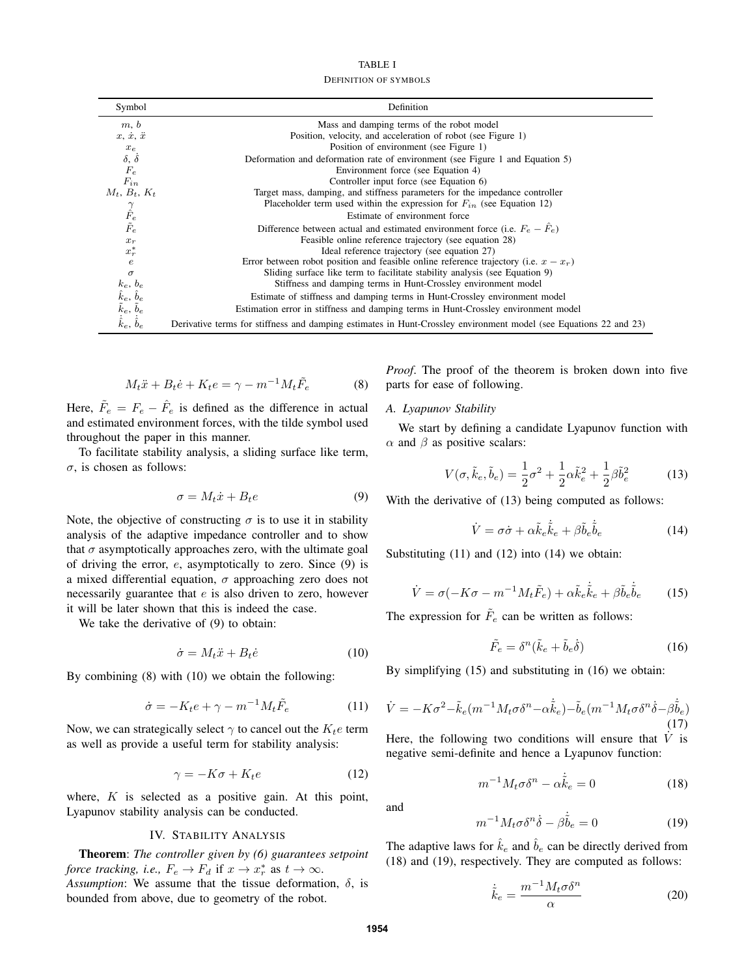| TABLE I                      |  |  |  |
|------------------------------|--|--|--|
| <b>DEFINITION OF SYMBOLS</b> |  |  |  |

| Symbol                                                          | Definition                                                                                                        |  |  |
|-----------------------------------------------------------------|-------------------------------------------------------------------------------------------------------------------|--|--|
| m, b                                                            | Mass and damping terms of the robot model                                                                         |  |  |
| $x, \dot{x}, \ddot{x}$                                          | Position, velocity, and acceleration of robot (see Figure 1)                                                      |  |  |
| $x_{e}$                                                         | Position of environment (see Figure 1)                                                                            |  |  |
| $\delta$ , $\dot{\delta}$                                       | Deformation and deformation rate of environment (see Figure 1 and Equation 5)                                     |  |  |
| $\mathcal{F}_e$                                                 | Environment force (see Equation 4)                                                                                |  |  |
| $F_{in}$                                                        | Controller input force (see Equation 6)                                                                           |  |  |
| $M_t$ , $B_t$ , $K_t$                                           | Target mass, damping, and stiffness parameters for the impedance controller                                       |  |  |
|                                                                 | Placeholder term used within the expression for $F_{in}$ (see Equation 12)                                        |  |  |
|                                                                 | Estimate of environment force                                                                                     |  |  |
| $\begin{array}{c}\gamma \\ \hat{F}_e \\ \tilde{F}_e\end{array}$ | Difference between actual and estimated environment force (i.e. $F_e - F_e$ )                                     |  |  |
| $x_r$                                                           | Feasible online reference trajectory (see equation 28)                                                            |  |  |
| $x_r^*$                                                         | Ideal reference trajectory (see equation 27)                                                                      |  |  |
| $\boldsymbol{e}$                                                | Error between robot position and feasible online reference trajectory (i.e. $x - x_r$ )                           |  |  |
| $\sigma$                                                        | Sliding surface like term to facilitate stability analysis (see Equation 9)                                       |  |  |
| $k_e, b_e$                                                      | Stiffness and damping terms in Hunt-Crossley environment model                                                    |  |  |
| $\hat{k}_e, \, \hat{b}_e$                                       | Estimate of stiffness and damping terms in Hunt-Crossley environment model                                        |  |  |
| $\tilde{k}_e, \, \tilde{b}_e$                                   | Estimation error in stiffness and damping terms in Hunt-Crossley environment model                                |  |  |
| $\dot{\hat{k}}_e, \dot{\hat{b}}_e$                              | Derivative terms for stiffness and damping estimates in Hunt-Crossley environment model (see Equations 22 and 23) |  |  |

$$
M_t \ddot{x} + B_t \dot{e} + K_t e = \gamma - m^{-1} M_t \tilde{F}_e \tag{8}
$$

Here,  $\tilde{F}_e = F_e - \hat{F}_e$  is defined as the difference in actual and estimated environment forces, with the tilde symbol used throughout the paper in this manner.

To facilitate stability analysis, a sliding surface like term,  $\sigma$ , is chosen as follows:

$$
\sigma = M_t \dot{x} + B_t e \tag{9}
$$

Note, the objective of constructing  $\sigma$  is to use it in stability analysis of the adaptive impedance controller and to show that  $\sigma$  asymptotically approaches zero, with the ultimate goal of driving the error,  $e$ , asymptotically to zero. Since  $(9)$  is a mixed differential equation,  $\sigma$  approaching zero does not necessarily guarantee that  $e$  is also driven to zero, however it will be later shown that this is indeed the case.

We take the derivative of (9) to obtain:

$$
\dot{\sigma} = M_t \ddot{x} + B_t \dot{e} \tag{10}
$$

By combining (8) with (10) we obtain the following:

$$
\dot{\sigma} = -K_t e + \gamma - m^{-1} M_t \tilde{F}_e \tag{11}
$$

Now, we can strategically select  $\gamma$  to cancel out the  $K_t e$  term as well as provide a useful term for stability analysis:

$$
\gamma = -K\sigma + K_t e \tag{12}
$$

where,  $K$  is selected as a positive gain. At this point, Lyapunov stability analysis can be conducted.

## IV. STABILITY ANALYSIS

Theorem: *The controller given by (6) guarantees setpoint force tracking, i.e.,*  $F_e \to F_d$  if  $x \to x_r^*$  as  $t \to \infty$ . *Assumption*: We assume that the tissue deformation,  $\delta$ , is bounded from above, due to geometry of the robot.

*Proof*. The proof of the theorem is broken down into five parts for ease of following.

## *A. Lyapunov Stability*

We start by defining a candidate Lyapunov function with  $\alpha$  and  $\beta$  as positive scalars:

$$
V(\sigma, \tilde{k}_e, \tilde{b}_e) = \frac{1}{2}\sigma^2 + \frac{1}{2}\alpha \tilde{k}_e^2 + \frac{1}{2}\beta \tilde{b}_e^2
$$
 (13)

With the derivative of  $(13)$  being computed as follows:

$$
\dot{V} = \sigma \dot{\sigma} + \alpha \tilde{k}_e \dot{\tilde{k}}_e + \beta \tilde{b}_e \dot{\tilde{b}}_e \tag{14}
$$

Substituting (11) and (12) into (14) we obtain:

$$
\dot{V} = \sigma(-K\sigma - m^{-1}M_t\tilde{F}_e) + \alpha\tilde{k}_e\dot{\tilde{k}}_e + \beta\tilde{b}_e\dot{\tilde{b}}_e \qquad (15)
$$

The expression for  $\tilde{F}_e$  can be written as follows:

$$
\tilde{F}_e = \delta^n (\tilde{k}_e + \tilde{b}_e \dot{\delta}) \tag{16}
$$

By simplifying (15) and substituting in (16) we obtain:

$$
\dot{V} = -K\sigma^2 - \tilde{k}_e(m^{-1}M_t\sigma\delta^n - \alpha \dot{\tilde{k}}_e) - \tilde{b}_e(m^{-1}M_t\sigma\delta^n\dot{\delta} - \beta \dot{\tilde{b}}_e)
$$
\n(17)

Here, the following two conditions will ensure that  $\dot{V}$  is negative semi-definite and hence a Lyapunov function:

$$
m^{-1}M_t\sigma\delta^n - \alpha \dot{\tilde{k}}_e = 0 \tag{18}
$$

and

$$
m^{-1}M_t \sigma \delta^n \dot{\delta} - \beta \dot{\tilde{b}}_e = 0 \tag{19}
$$

The adaptive laws for  $\hat{k}_e$  and  $\hat{b}_e$  can be directly derived from (18) and (19), respectively. They are computed as follows:

$$
\dot{\tilde{k}}_e = \frac{m^{-1}M_t \sigma \delta^n}{\alpha} \tag{20}
$$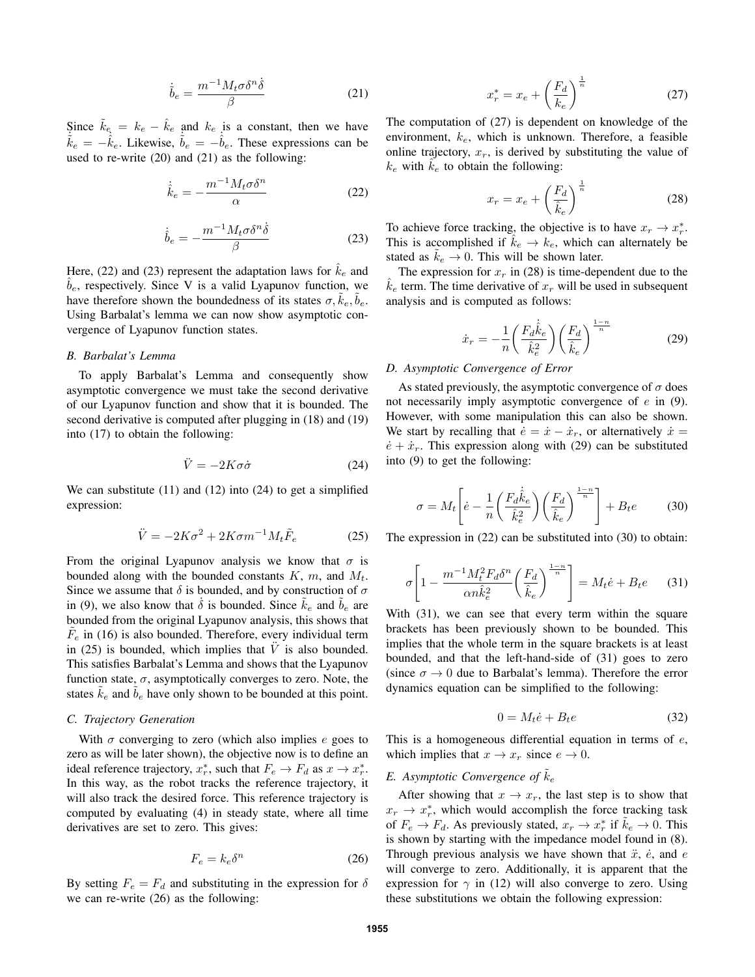$$
\dot{\tilde{b}}_e = \frac{m^{-1} M_t \sigma \delta^n \dot{\delta}}{\beta} \tag{21}
$$

Since  $k_e = k_e - k_e$  and  $k_e$  is a constant, then we have  $\dot{\vec{k}}_e = -\dot{\vec{k}}_e$ . Likewise,  $\dot{\vec{b}}_e = -\dot{\vec{b}}_e$ . These expressions can be used to re-write (20) and (21) as the following:

$$
\dot{\hat{k}}_e = -\frac{m^{-1}M_t\sigma\delta^n}{\alpha} \tag{22}
$$

$$
\dot{\hat{b}}_e = -\frac{m^{-1}M_t\sigma\delta^n\dot{\delta}}{\beta} \tag{23}
$$

Here, (22) and (23) represent the adaptation laws for  $\hat{k}_e$  and  $b_e$ , respectively. Since V is a valid Lyapunov function, we have therefore shown the boundedness of its states  $\sigma, \tilde{k}_e, \tilde{b}_e$ . Using Barbalat's lemma we can now show asymptotic convergence of Lyapunov function states.

## *B. Barbalat's Lemma*

To apply Barbalat's Lemma and consequently show asymptotic convergence we must take the second derivative of our Lyapunov function and show that it is bounded. The second derivative is computed after plugging in (18) and (19) into (17) to obtain the following:

$$
\ddot{V} = -2K\sigma\dot{\sigma} \tag{24}
$$

We can substitute (11) and (12) into (24) to get a simplified expression:

$$
\ddot{V} = -2K\sigma^2 + 2K\sigma m^{-1} M_t \tilde{F}_e \tag{25}
$$

From the original Lyapunov analysis we know that  $\sigma$  is bounded along with the bounded constants  $K$ ,  $m$ , and  $M_t$ . Since we assume that  $\delta$  is bounded, and by construction of  $\sigma$ in (9), we also know that  $\delta$  is bounded. Since  $k_e$  and  $b_e$  are bounded from the original Lyapunov analysis, this shows that  $\tilde{F}_e$  in (16) is also bounded. Therefore, every individual term in (25) is bounded, which implies that  $\tilde{V}$  is also bounded. This satisfies Barbalat's Lemma and shows that the Lyapunov function state,  $\sigma$ , asymptotically converges to zero. Note, the states  $k_e$  and  $b_e$  have only shown to be bounded at this point.

## *C. Trajectory Generation*

With  $\sigma$  converging to zero (which also implies e goes to zero as will be later shown), the objective now is to define an ideal reference trajectory,  $x_r^*$ , such that  $F_e \to F_d$  as  $x \to x_r^*$ . In this way, as the robot tracks the reference trajectory, it will also track the desired force. This reference trajectory is computed by evaluating (4) in steady state, where all time derivatives are set to zero. This gives:

$$
F_e = k_e \delta^n \tag{26}
$$

By setting  $F_e = F_d$  and substituting in the expression for  $\delta$ we can re-write (26) as the following:

$$
x_r^* = x_e + \left(\frac{F_d}{k_e}\right)^{\frac{1}{n}}\tag{27}
$$

The computation of (27) is dependent on knowledge of the environment,  $k_e$ , which is unknown. Therefore, a feasible online trajectory,  $x_r$ , is derived by substituting the value of  $k_e$  with  $\hat{k}_e$  to obtain the following:

$$
x_r = x_e + \left(\frac{F_d}{\hat{k}_e}\right)^{\frac{1}{n}} \tag{28}
$$

To achieve force tracking, the objective is to have  $x_r \to x_r^*$ . This is accomplished if  $k_e \rightarrow k_e$ , which can alternately be stated as  $k_e \rightarrow 0$ . This will be shown later.

The expression for  $x_r$  in (28) is time-dependent due to the  $k_e$  term. The time derivative of  $x_r$  will be used in subsequent analysis and is computed as follows:

$$
\dot{x}_r = -\frac{1}{n} \left( \frac{F_d \dot{\hat{k}}_e}{\hat{k}_e^2} \right) \left( \frac{F_d}{\hat{k}_e} \right)^{\frac{1-n}{n}} \tag{29}
$$

#### *D. Asymptotic Convergence of Error*

As stated previously, the asymptotic convergence of  $\sigma$  does not necessarily imply asymptotic convergence of  $e$  in (9). However, with some manipulation this can also be shown. We start by recalling that  $\dot{e} = \dot{x} - \dot{x}_r$ , or alternatively  $\dot{x} =$  $\dot{e} + \dot{x}_r$ . This expression along with (29) can be substituted into (9) to get the following:

$$
\sigma = M_t \left[ \dot{e} - \frac{1}{n} \left( \frac{F_d \dot{\hat{k}}_e}{\hat{k}_e^2} \right) \left( \frac{F_d}{\hat{k}_e} \right)^{\frac{1-n}{n}} \right] + B_t e \tag{30}
$$

The expression in (22) can be substituted into (30) to obtain:

$$
\sigma \left[ 1 - \frac{m^{-1} M_t^2 F_d \delta^n}{\alpha n \hat{k}_e^2} \left( \frac{F_d}{\hat{k}_e} \right)^{\frac{1-n}{n}} \right] = M_t \dot{e} + B_t e \qquad (31)
$$

With (31), we can see that every term within the square brackets has been previously shown to be bounded. This implies that the whole term in the square brackets is at least bounded, and that the left-hand-side of (31) goes to zero (since  $\sigma \rightarrow 0$  due to Barbalat's lemma). Therefore the error dynamics equation can be simplified to the following:

$$
0 = M_t \dot{e} + B_t e \tag{32}
$$

This is a homogeneous differential equation in terms of  $e$ , which implies that  $x \to x_r$  since  $e \to 0$ .

## *E.* Asymptotic Convergence of  $\tilde{k}_e$

After showing that  $x \to x_r$ , the last step is to show that  $x_r \rightarrow x_r^*$ , which would accomplish the force tracking task of  $F_e \rightarrow F_d$ . As previously stated,  $x_r \rightarrow x_r^*$  if  $\tilde{k}_e \rightarrow 0$ . This is shown by starting with the impedance model found in (8). Through previous analysis we have shown that  $\ddot{x}$ ,  $\dot{e}$ , and  $e$ will converge to zero. Additionally, it is apparent that the expression for  $\gamma$  in (12) will also converge to zero. Using these substitutions we obtain the following expression: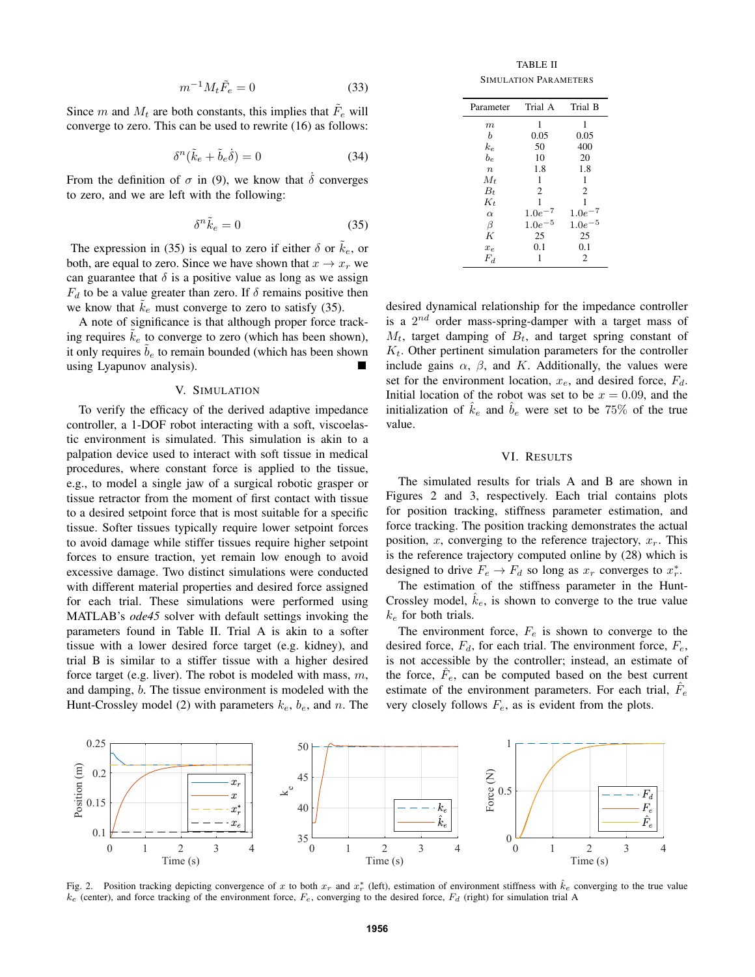$$
m^{-1}M_t\tilde{F}_e = 0\tag{33}
$$

Since m and  $M_t$  are both constants, this implies that  $\tilde{F}_e$  will converge to zero. This can be used to rewrite (16) as follows:

$$
\delta^n(\tilde{k}_e + \tilde{b}_e \dot{\delta}) = 0 \tag{34}
$$

From the definition of  $\sigma$  in (9), we know that  $\dot{\delta}$  converges to zero, and we are left with the following:

$$
\delta^n \tilde{k}_e = 0 \tag{35}
$$

The expression in (35) is equal to zero if either  $\delta$  or  $\tilde{k}_e$ , or both, are equal to zero. Since we have shown that  $x \to x_r$  we can guarantee that  $\delta$  is a positive value as long as we assign  $F_d$  to be a value greater than zero. If  $\delta$  remains positive then we know that  $k_e$  must converge to zero to satisfy (35).

A note of significance is that although proper force tracking requires  $k_e$  to converge to zero (which has been shown), it only requires  $\tilde{b}_e$  to remain bounded (which has been shown using Lyapunov analysis). **Includes** 

#### V. SIMULATION

To verify the efficacy of the derived adaptive impedance controller, a 1-DOF robot interacting with a soft, viscoelastic environment is simulated. This simulation is akin to a palpation device used to interact with soft tissue in medical procedures, where constant force is applied to the tissue, e.g., to model a single jaw of a surgical robotic grasper or tissue retractor from the moment of first contact with tissue to a desired setpoint force that is most suitable for a specific tissue. Softer tissues typically require lower setpoint forces to avoid damage while stiffer tissues require higher setpoint forces to ensure traction, yet remain low enough to avoid excessive damage. Two distinct simulations were conducted with different material properties and desired force assigned for each trial. These simulations were performed using MATLAB's *ode45* solver with default settings invoking the parameters found in Table II. Trial A is akin to a softer tissue with a lower desired force target (e.g. kidney), and trial B is similar to a stiffer tissue with a higher desired force target (e.g. liver). The robot is modeled with mass,  $m$ , and damping, b. The tissue environment is modeled with the Hunt-Crossley model (2) with parameters  $k_e$ ,  $b_e$ , and n. The

TABLE II SIMULATION PARAMETERS

| Parameter        | Trial A     | Trial B     |
|------------------|-------------|-------------|
| $_{m}$           | 1           | 1           |
| b                | 0.05        | 0.05        |
| $k_e$            | 50          | 400         |
| $b_e$            | 10          | 20          |
| $\boldsymbol{n}$ | 1.8         | 1.8         |
| $M_t$            | 1           | 1           |
| $B_t$            | 2           | 2           |
| $K_t$            | 1           | 1           |
| $\alpha$         | $1.0e^-$    | $1.0e^-$    |
| β                | $1.0e^{-5}$ | $1.0e^{-5}$ |
| K                | 25          | 25          |
| $x_e$            | 0.1         | 0.1         |
| $F_d$            | 1           | 2           |
|                  |             |             |

desired dynamical relationship for the impedance controller is a  $2^{nd}$  order mass-spring-damper with a target mass of  $M_t$ , target damping of  $B_t$ , and target spring constant of  $K_t$ . Other pertinent simulation parameters for the controller include gains  $\alpha$ ,  $\beta$ , and K. Additionally, the values were set for the environment location,  $x_e$ , and desired force,  $F_d$ . Initial location of the robot was set to be  $x = 0.09$ , and the initialization of  $\hat{k}_e$  and  $\hat{b}_e$  were set to be 75% of the true value.

## VI. RESULTS

The simulated results for trials A and B are shown in Figures 2 and 3, respectively. Each trial contains plots for position tracking, stiffness parameter estimation, and force tracking. The position tracking demonstrates the actual position, x, converging to the reference trajectory,  $x_r$ . This is the reference trajectory computed online by (28) which is designed to drive  $F_e \to F_d$  so long as  $x_r$  converges to  $x_r^*$ .

The estimation of the stiffness parameter in the Hunt-Crossley model,  $\hat{k}_e$ , is shown to converge to the true value  $k_e$  for both trials.

The environment force,  $F_e$  is shown to converge to the desired force,  $F_d$ , for each trial. The environment force,  $F_e$ , is not accessible by the controller; instead, an estimate of the force,  $\hat{F}_e$ , can be computed based on the best current estimate of the environment parameters. For each trial,  $\hat{F}_e$ very closely follows  $F_e$ , as is evident from the plots.



Fig. 2. Position tracking depicting convergence of x to both  $x_r$  and  $x_r^*$  (left), estimation of environment stiffness with  $\hat{k}_e$  converging to the true value  $k_e$  (center), and force tracking of the environment force,  $F_e$ , converging to the desired force,  $F_d$  (right) for simulation trial A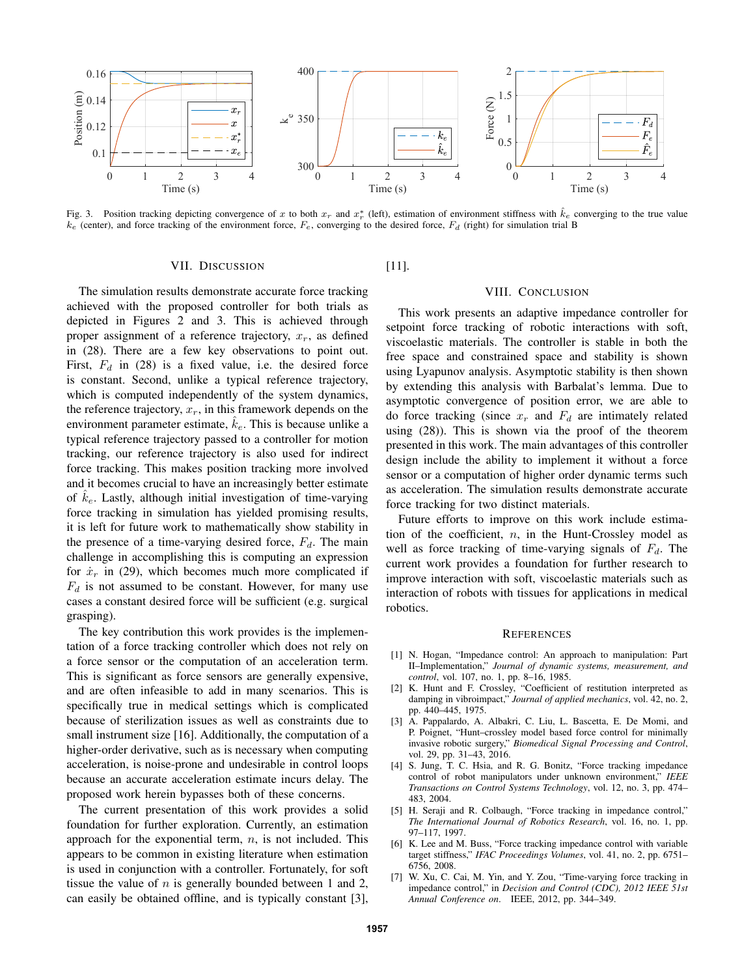

Fig. 3. Position tracking depicting convergence of x to both  $x_r$  and  $x_r^*$  (left), estimation of environment stiffness with  $\hat{k}_e$  converging to the true value  $k_e$  (center), and force tracking of the environment force,  $F_e$ , converging to the desired force,  $F_d$  (right) for simulation trial B

#### VII. DISCUSSION

The simulation results demonstrate accurate force tracking achieved with the proposed controller for both trials as depicted in Figures 2 and 3. This is achieved through proper assignment of a reference trajectory,  $x_r$ , as defined in (28). There are a few key observations to point out. First,  $F_d$  in (28) is a fixed value, i.e. the desired force is constant. Second, unlike a typical reference trajectory, which is computed independently of the system dynamics, the reference trajectory,  $x_r$ , in this framework depends on the environment parameter estimate,  $k_e$ . This is because unlike a typical reference trajectory passed to a controller for motion tracking, our reference trajectory is also used for indirect force tracking. This makes position tracking more involved and it becomes crucial to have an increasingly better estimate of  $k_e$ . Lastly, although initial investigation of time-varying force tracking in simulation has yielded promising results, it is left for future work to mathematically show stability in the presence of a time-varying desired force,  $F_d$ . The main challenge in accomplishing this is computing an expression for  $\dot{x}_r$  in (29), which becomes much more complicated if  $F_d$  is not assumed to be constant. However, for many use cases a constant desired force will be sufficient (e.g. surgical grasping).

The key contribution this work provides is the implementation of a force tracking controller which does not rely on a force sensor or the computation of an acceleration term. This is significant as force sensors are generally expensive, and are often infeasible to add in many scenarios. This is specifically true in medical settings which is complicated because of sterilization issues as well as constraints due to small instrument size [16]. Additionally, the computation of a higher-order derivative, such as is necessary when computing acceleration, is noise-prone and undesirable in control loops because an accurate acceleration estimate incurs delay. The proposed work herein bypasses both of these concerns.

The current presentation of this work provides a solid foundation for further exploration. Currently, an estimation approach for the exponential term,  $n$ , is not included. This appears to be common in existing literature when estimation is used in conjunction with a controller. Fortunately, for soft tissue the value of  $n$  is generally bounded between 1 and 2, can easily be obtained offline, and is typically constant [3],

[11].

## VIII. CONCLUSION

This work presents an adaptive impedance controller for setpoint force tracking of robotic interactions with soft, viscoelastic materials. The controller is stable in both the free space and constrained space and stability is shown using Lyapunov analysis. Asymptotic stability is then shown by extending this analysis with Barbalat's lemma. Due to asymptotic convergence of position error, we are able to do force tracking (since  $x_r$  and  $F_d$  are intimately related using (28)). This is shown via the proof of the theorem presented in this work. The main advantages of this controller design include the ability to implement it without a force sensor or a computation of higher order dynamic terms such as acceleration. The simulation results demonstrate accurate force tracking for two distinct materials.

Future efforts to improve on this work include estimation of the coefficient,  $n$ , in the Hunt-Crossley model as well as force tracking of time-varying signals of  $F_d$ . The current work provides a foundation for further research to improve interaction with soft, viscoelastic materials such as interaction of robots with tissues for applications in medical robotics.

#### **REFERENCES**

- [1] N. Hogan, "Impedance control: An approach to manipulation: Part II–Implementation," *Journal of dynamic systems, measurement, and control*, vol. 107, no. 1, pp. 8–16, 1985.
- [2] K. Hunt and F. Crossley, "Coefficient of restitution interpreted as damping in vibroimpact," *Journal of applied mechanics*, vol. 42, no. 2, pp. 440–445, 1975.
- [3] A. Pappalardo, A. Albakri, C. Liu, L. Bascetta, E. De Momi, and P. Poignet, "Hunt–crossley model based force control for minimally invasive robotic surgery," *Biomedical Signal Processing and Control*, vol. 29, pp. 31–43, 2016.
- [4] S. Jung, T. C. Hsia, and R. G. Bonitz, "Force tracking impedance control of robot manipulators under unknown environment," *IEEE Transactions on Control Systems Technology*, vol. 12, no. 3, pp. 474– 483, 2004.
- [5] H. Seraji and R. Colbaugh, "Force tracking in impedance control," *The International Journal of Robotics Research*, vol. 16, no. 1, pp. 97–117, 1997.
- [6] K. Lee and M. Buss, "Force tracking impedance control with variable target stiffness," *IFAC Proceedings Volumes*, vol. 41, no. 2, pp. 6751– 6756, 2008.
- [7] W. Xu, C. Cai, M. Yin, and Y. Zou, "Time-varying force tracking in impedance control," in *Decision and Control (CDC), 2012 IEEE 51st Annual Conference on*. IEEE, 2012, pp. 344–349.